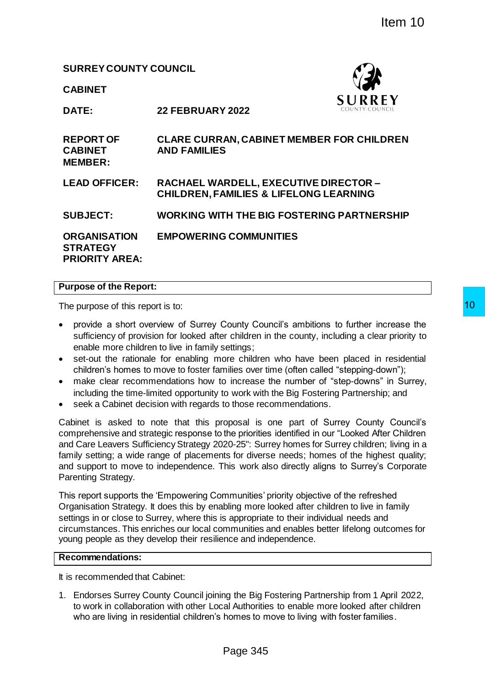# **SURREY COUNTY COUNCIL**



|                                                                 |                                                                                                                                                                                                                                                                                                                                                   | Item 10                                                                                                                                                                                                                                                                                                                                                                                                                                                                          |
|-----------------------------------------------------------------|---------------------------------------------------------------------------------------------------------------------------------------------------------------------------------------------------------------------------------------------------------------------------------------------------------------------------------------------------|----------------------------------------------------------------------------------------------------------------------------------------------------------------------------------------------------------------------------------------------------------------------------------------------------------------------------------------------------------------------------------------------------------------------------------------------------------------------------------|
| <b>SURREY COUNTY COUNCIL</b>                                    |                                                                                                                                                                                                                                                                                                                                                   |                                                                                                                                                                                                                                                                                                                                                                                                                                                                                  |
| <b>CABINET</b>                                                  |                                                                                                                                                                                                                                                                                                                                                   |                                                                                                                                                                                                                                                                                                                                                                                                                                                                                  |
| DATE:                                                           | <b>22 FEBRUARY 2022</b>                                                                                                                                                                                                                                                                                                                           | <b>SURREY</b>                                                                                                                                                                                                                                                                                                                                                                                                                                                                    |
| <b>REPORT OF</b><br><b>CABINET</b><br><b>MEMBER:</b>            | <b>AND FAMILIES</b>                                                                                                                                                                                                                                                                                                                               | <b>CLARE CURRAN, CABINET MEMBER FOR CHILDREN</b>                                                                                                                                                                                                                                                                                                                                                                                                                                 |
| <b>LEAD OFFICER:</b>                                            | RACHAEL WARDELL, EXECUTIVE DIRECTOR -<br><b>CHILDREN, FAMILIES &amp; LIFELONG LEARNING</b>                                                                                                                                                                                                                                                        |                                                                                                                                                                                                                                                                                                                                                                                                                                                                                  |
| <b>SUBJECT:</b>                                                 |                                                                                                                                                                                                                                                                                                                                                   | <b>WORKING WITH THE BIG FOSTERING PARTNERSHIP</b>                                                                                                                                                                                                                                                                                                                                                                                                                                |
| <b>ORGANISATION</b><br><b>STRATEGY</b><br><b>PRIORITY AREA:</b> | <b>EMPOWERING COMMUNITIES</b>                                                                                                                                                                                                                                                                                                                     |                                                                                                                                                                                                                                                                                                                                                                                                                                                                                  |
| urpose of the Report:                                           |                                                                                                                                                                                                                                                                                                                                                   |                                                                                                                                                                                                                                                                                                                                                                                                                                                                                  |
| The purpose of this report is to:                               |                                                                                                                                                                                                                                                                                                                                                   |                                                                                                                                                                                                                                                                                                                                                                                                                                                                                  |
|                                                                 | enable more children to live in family settings;<br>children's homes to move to foster families over time (often called "stepping-down");<br>including the time-limited opportunity to work with the Big Fostering Partnership; and<br>seek a Cabinet decision with regards to those recommendations.                                             | provide a short overview of Surrey County Council's ambitions to further increase the<br>sufficiency of provision for looked after children in the county, including a clear priority to<br>set-out the rationale for enabling more children who have been placed in residential<br>make clear recommendations how to increase the number of "step-downs" in Surrev.                                                                                                             |
| Parenting Strategy.                                             |                                                                                                                                                                                                                                                                                                                                                   | Cabinet is asked to note that this proposal is one part of Surrey County Council's<br>omprehensive and strategic response to the priorities identified in our "Looked After Children<br>Ind Care Leavers Sufficiency Strategy 2020-25": Surrey homes for Surrey children; living in a<br>amily setting; a wide range of placements for diverse needs; homes of the highest quality;<br>ind support to move to independence. This work also directly aligns to Surrey's Corporate |
|                                                                 | This report supports the 'Empowering Communities' priority objective of the refreshed<br>Drganisation Strategy. It does this by enabling more looked after children to live in family<br>ettings in or close to Surrey, where this is appropriate to their individual needs and<br>oung people as they develop their resilience and independence. | ircumstances. This enriches our local communities and enables better lifelong outcomes for                                                                                                                                                                                                                                                                                                                                                                                       |
| Recommendations:                                                |                                                                                                                                                                                                                                                                                                                                                   |                                                                                                                                                                                                                                                                                                                                                                                                                                                                                  |
| is recommended that Cabinet:                                    |                                                                                                                                                                                                                                                                                                                                                   |                                                                                                                                                                                                                                                                                                                                                                                                                                                                                  |
|                                                                 | who are living in residential children's homes to move to living with foster families.                                                                                                                                                                                                                                                            | . Endorses Surrey County Council joining the Big Fostering Partnership from 1 April 2022,<br>to work in collaboration with other Local Authorities to enable more looked after children                                                                                                                                                                                                                                                                                          |
|                                                                 | Page 345                                                                                                                                                                                                                                                                                                                                          |                                                                                                                                                                                                                                                                                                                                                                                                                                                                                  |

## **Purpose of the Report:**

- provide a short overview of Surrey County Council's ambitions to further increase the sufficiency of provision for looked after children in the county, including a clear priority to enable more children to live in family settings;
- set-out the rationale for enabling more children who have been placed in residential children's homes to move to foster families over time (often called "stepping-down");
- make clear recommendations how to increase the number of "step-downs" in Surrey, including the time-limited opportunity to work with the Big Fostering Partnership; and
- seek a Cabinet decision with regards to those recommendations.

## **Recommendations:**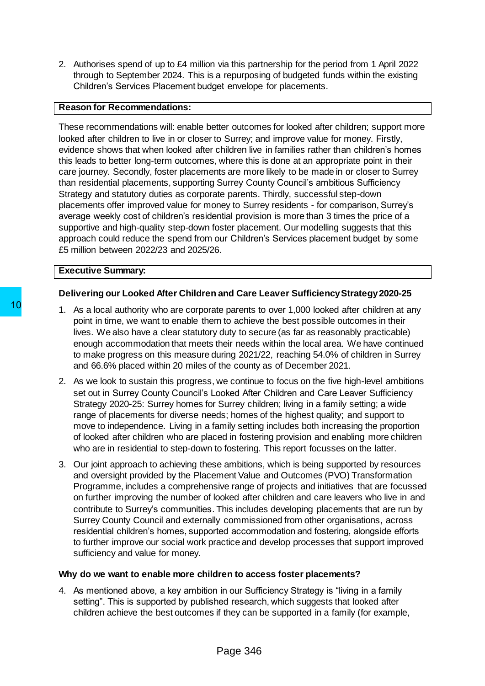2. Authorises spend of up to £4 million via this partnership for the period from 1 April 2022 through to September 2024. This is a repurposing of budgeted funds within the existing Children's Services Placement budget envelope for placements.

## **Reason for Recommendations:**

These recommendations will: enable better outcomes for looked after children; support more looked after children to live in or closer to Surrey; and improve value for money. Firstly, evidence shows that when looked after children live in families rather than children's homes this leads to better long-term outcomes, where this is done at an appropriate point in their care journey. Secondly, foster placements are more likely to be made in or closer to Surrey than residential placements, supporting Surrey County Council's ambitious Sufficiency Strategy and statutory duties as corporate parents. Thirdly, successful step-down placements offer improved value for money to Surrey residents - for comparison, Surrey's average weekly cost of children's residential provision is more than 3 times the price of a supportive and high-quality step-down foster placement. Our modelling suggests that this approach could reduce the spend from our Children's Services placement budget by some £5 million between 2022/23 and 2025/26.

### **Executive Summary:**

## **Delivering our Looked After Children and Care Leaver Sufficiency Strategy2020-25**

- 1. As a local authority who are corporate parents to over 1,000 looked after children at any point in time, we want to enable them to achieve the best possible outcomes in their lives. We also have a clear statutory duty to secure (as far as reasonably practicable) enough accommodation that meets their needs within the local area. We have continued to make progress on this measure during 2021/22, reaching 54.0% of children in Surrey and 66.6% placed within 20 miles of the county as of December 2021.
- 2. As we look to sustain this progress, we continue to focus on the five high-level ambitions set out in Surrey County Council's Looked After Children and Care Leaver Sufficiency Strategy 2020-25: Surrey homes for Surrey children; living in a family setting; a wide range of placements for diverse needs; homes of the highest quality; and support to move to independence. Living in a family setting includes both increasing the proportion of looked after children who are placed in fostering provision and enabling more children who are in residential to step-down to fostering. This report focusses on the latter.
- 3. Our joint approach to achieving these ambitions, which is being supported by resources and oversight provided by the Placement Value and Outcomes (PVO) Transformation Programme, includes a comprehensive range of projects and initiatives that are focussed on further improving the number of looked after children and care leavers who live in and contribute to Surrey's communities. This includes developing placements that are run by Surrey County Council and externally commissioned from other organisations, across residential children's homes, supported accommodation and fostering, alongside efforts to further improve our social work practice and develop processes that support improved sufficiency and value for money. Page 346 10

## **Why do we want to enable more children to access foster placements?**

4. As mentioned above, a key ambition in our Sufficiency Strategy is "living in a family setting". This is supported by published research, which suggests that looked after children achieve the best outcomes if they can be supported in a family (for example,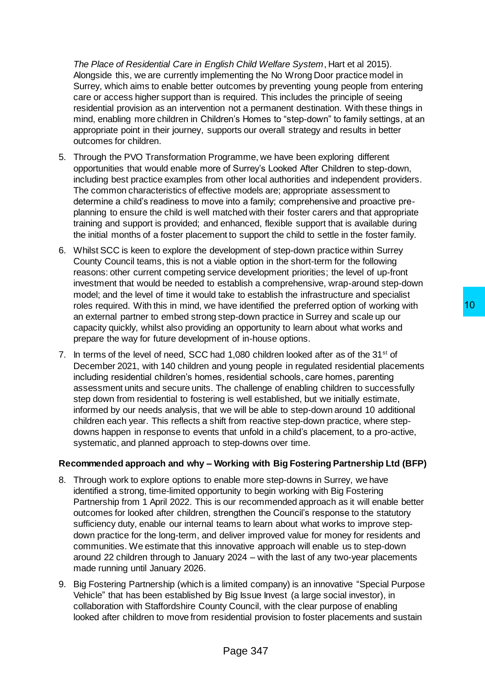*The Place of Residential Care in English Child Welfare System*, Hart et al 2015). Alongside this, we are currently implementing the No Wrong Door practice model in Surrey, which aims to enable better outcomes by preventing young people from entering care or access higher support than is required. This includes the principle of seeing residential provision as an intervention not a permanent destination. With these things in mind, enabling more children in Children's Homes to "step-down" to family settings, at an appropriate point in their journey, supports our overall strategy and results in better outcomes for children.

- 5. Through the PVO Transformation Programme, we have been exploring different opportunities that would enable more of Surrey's Looked After Children to step-down, including best practice examples from other local authorities and independent providers. The common characteristics of effective models are; appropriate assessment to determine a child's readiness to move into a family; comprehensive and proactive preplanning to ensure the child is well matched with their foster carers and that appropriate training and support is provided; and enhanced, flexible support that is available during the initial months of a foster placement to support the child to settle in the foster family.
- 6. Whilst SCC is keen to explore the development of step-down practice within Surrey County Council teams, this is not a viable option in the short-term for the following reasons: other current competing service development priorities; the level of up-front investment that would be needed to establish a comprehensive, wrap-around step-down model; and the level of time it would take to establish the infrastructure and specialist roles required. With this in mind, we have identified the preferred option of working with an external partner to embed strong step-down practice in Surrey and scale up our capacity quickly, whilst also providing an opportunity to learn about what works and prepare the way for future development of in-house options.
- 7. In terms of the level of need, SCC had  $1,080$  children looked after as of the  $31<sup>st</sup>$  of December 2021, with 140 children and young people in regulated residential placements including residential children's homes, residential schools, care homes, parenting assessment units and secure units. The challenge of enabling children to successfully step down from residential to fostering is well established, but we initially estimate, informed by our needs analysis, that we will be able to step-down around 10 additional children each year. This reflects a shift from reactive step-down practice, where stepdowns happen in response to events that unfold in a child's placement, to a pro-active, systematic, and planned approach to step-downs over time. ave identified the preferred option of working with<br>tep-dom practice in Surrey and scale up our<br>an opportunity to learn about what works and<br>the of in-house options.<br>The section of in-house options.<br>In 1,080 children looke

## **Recommended approach and why – Working with Big Fostering Partnership Ltd (BFP)**

- 8. Through work to explore options to enable more step-downs in Surrey, we have identified a strong, time-limited opportunity to begin working with Big Fostering Partnership from 1 April 2022. This is our recommended approach as it will enable better outcomes for looked after children, strengthen the Council's response to the statutory sufficiency duty, enable our internal teams to learn about what works to improve stepdown practice for the long-term, and deliver improved value for money for residents and communities. We estimate that this innovative approach will enable us to step-down around 22 children through to January 2024 – with the last of any two-year placements made running until January 2026.
- 9. Big Fostering Partnership (which is a limited company) is an innovative "Special Purpose Vehicle" that has been established by Big Issue Invest (a large social investor), in collaboration with Staffordshire County Council, with the clear purpose of enabling looked after children to move from residential provision to foster placements and sustain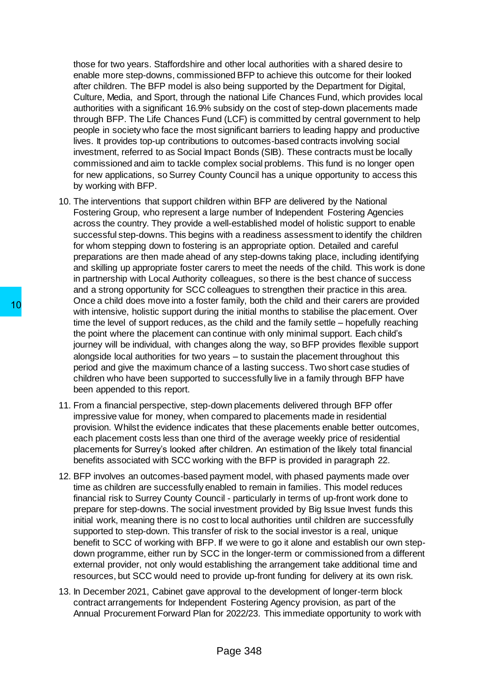those for two years. Staffordshire and other local authorities with a shared desire to enable more step-downs, commissioned BFP to achieve this outcome for their looked after children. The BFP model is also being supported by the Department for Digital, Culture, Media, and Sport, through the national Life Chances Fund, which provides local authorities with a significant 16.9% subsidy on the cost of step-down placements made through BFP. The Life Chances Fund (LCF) is committed by central government to help people in society who face the most significant barriers to leading happy and productive lives. It provides top-up contributions to outcomes-based contracts involving social investment, referred to as Social Impact Bonds (SIB). These contracts must be locally commissioned and aim to tackle complex social problems. This fund is no longer open for new applications, so Surrey County Council has a unique opportunity to access this by working with BFP.

- 10. The interventions that support children within BFP are delivered by the National Fostering Group, who represent a large number of Independent Fostering Agencies across the country. They provide a well-established model of holistic support to enable successful step-downs. This begins with a readiness assessment to identify the children for whom stepping down to fostering is an appropriate option. Detailed and careful preparations are then made ahead of any step-downs taking place, including identifying and skilling up appropriate foster carers to meet the needs of the child. This work is done in partnership with Local Authority colleagues, so there is the best chance of success and a strong opportunity for SCC colleagues to strengthen their practice in this area. Once a child does move into a foster family, both the child and their carers are provided with intensive, holistic support during the initial months to stabilise the placement. Over time the level of support reduces, as the child and the family settle – hopefully reaching the point where the placement can continue with only minimal support. Each child's journey will be individual, with changes along the way, so BFP provides flexible support alongside local authorities for two years – to sustain the placement throughout this period and give the maximum chance of a lasting success. Two short case studies of children who have been supported to successfully live in a family through BFP have been appended to this report.
- 11. From a financial perspective, step-down placements delivered through BFP offer impressive value for money, when compared to placements made in residential provision. Whilst the evidence indicates that these placements enable better outcomes, each placement costs less than one third of the average weekly price of residential placements for Surrey's looked after children. An estimation of the likely total financial benefits associated with SCC working with the BFP is provided in paragraph 22.
- 12. BFP involves an outcomes-based payment model, with phased payments made over time as children are successfully enabled to remain in families. This model reduces financial risk to Surrey County Council - particularly in terms of up-front work done to prepare for step-downs. The social investment provided by Big Issue Invest funds this initial work, meaning there is no cost to local authorities until children are successfully supported to step-down. This transfer of risk to the social investor is a real, unique benefit to SCC of working with BFP. If we were to go it alone and establish our own stepdown programme, either run by SCC in the longer-term or commissioned from a different external provider, not only would establishing the arrangement take additional time and resources, but SCC would need to provide up-front funding for delivery at its own risk. 10<br>
The a chinal oues move into a coster larming, both<br>
with intensive, holistic support during the initial r<br>
time the level of support reduces, as the child a<br>
the point where the placement can continue with<br>
journey wil
	- 13. In December 2021, Cabinet gave approval to the development of longer-term block contract arrangements for Independent Fostering Agency provision, as part of the Annual Procurement Forward Plan for 2022/23. This immediate opportunity to work with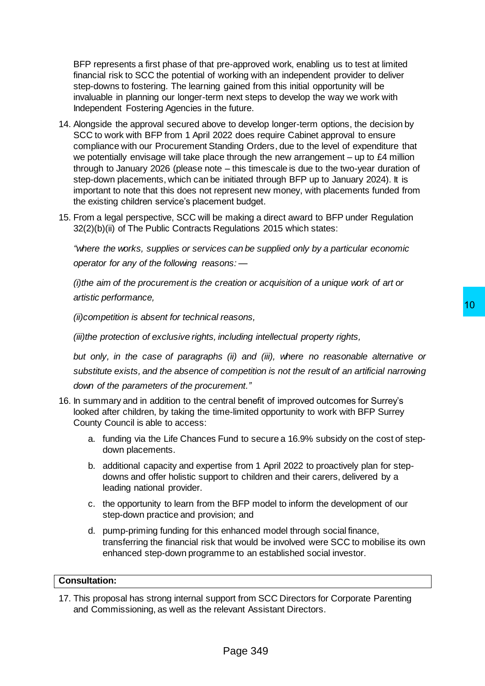BFP represents a first phase of that pre-approved work, enabling us to test at limited financial risk to SCC the potential of working with an independent provider to deliver step-downs to fostering. The learning gained from this initial opportunity will be invaluable in planning our longer-term next steps to develop the way we work with Independent Fostering Agencies in the future.

- 14. Alongside the approval secured above to develop longer-term options, the decision by SCC to work with BFP from 1 April 2022 does require Cabinet approval to ensure compliance with our Procurement Standing Orders, due to the level of expenditure that we potentially envisage will take place through the new arrangement – up to £4 million through to January 2026 (please note – this timescale is due to the two-year duration of step-down placements, which can be initiated through BFP up to January 2024). It is important to note that this does not represent new money, with placements funded from the existing children service's placement budget.
- 15. From a legal perspective, SCC will be making a direct award to BFP under Regulation 32(2)(b)(ii) of The Public Contracts Regulations 2015 which states:

*"where the works, supplies or services can be supplied only by a particular economic operator for any of the following reasons: —*

*(i)the aim of the procurement is the creation or acquisition of a unique work of art or artistic performance,*

*(ii)competition is absent for technical reasons,*

*(iii)the protection of exclusive rights, including intellectual property rights,*

*but only, in the case of paragraphs (ii) and (iii), where no reasonable alternative or substitute exists, and the absence of competition is not the result of an artificial narrowing down of the parameters of the procurement."* reasons,<br>
10<br>
coluding intellectual property rights,<br>
(ii) and (iii), where no reasonable alternative or<br>
competition is not the result of an artificial narrowing<br>
ment."<br>
tral benefit of improved outcomes for Surrey's<br>
e-

- 16. In summary and in addition to the central benefit of improved outcomes for Surrey's looked after children, by taking the time-limited opportunity to work with BFP Surrey County Council is able to access:
	- a. funding via the Life Chances Fund to secure a 16.9% subsidy on the cost of stepdown placements.
	- b. additional capacity and expertise from 1 April 2022 to proactively plan for stepdowns and offer holistic support to children and their carers, delivered by a leading national provider.
	- c. the opportunity to learn from the BFP model to inform the development of our step-down practice and provision; and
	- d. pump-priming funding for this enhanced model through social finance, transferring the financial risk that would be involved were SCC to mobilise its own enhanced step-down programme to an established social investor.

#### **Consultation:**

17. This proposal has strong internal support from SCC Directors for Corporate Parenting and Commissioning, as well as the relevant Assistant Directors.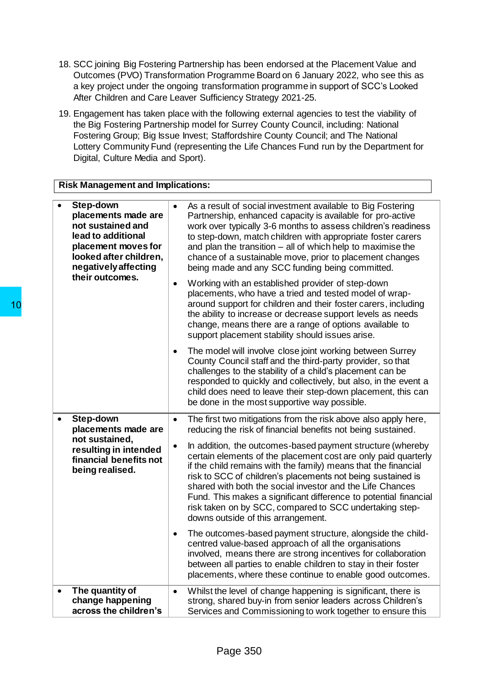- 18. SCC joining Big Fostering Partnership has been endorsed at the Placement Value and Outcomes (PVO) Transformation Programme Board on 6 January 2022, who see this as a key project under the ongoing transformation programme in support of SCC's Looked After Children and Care Leaver Sufficiency Strategy 2021-25.
- 19. Engagement has taken place with the following external agencies to test the viability of the Big Fostering Partnership model for Surrey County Council, including: National Fostering Group; Big Issue Invest; Staffordshire County Council; and The National Lottery Community Fund (representing the Life Chances Fund run by the Department for Digital, Culture Media and Sport).

# **Risk Management and Implications:**

|    | $\bullet$ | Step-down<br>placements made are<br>not sustained and<br>lead to additional<br>placement moves for<br>looked after children,<br>negatively affecting | $\bullet$ | As a result of social investment available to Big Fostering<br>Partnership, enhanced capacity is available for pro-active<br>work over typically 3-6 months to assess children's readiness<br>to step-down, match children with appropriate foster carers<br>and plan the transition $-$ all of which help to maximise the<br>chance of a sustainable move, prior to placement changes<br>being made and any SCC funding being committed.                                                       |
|----|-----------|------------------------------------------------------------------------------------------------------------------------------------------------------|-----------|-------------------------------------------------------------------------------------------------------------------------------------------------------------------------------------------------------------------------------------------------------------------------------------------------------------------------------------------------------------------------------------------------------------------------------------------------------------------------------------------------|
| 10 |           | their outcomes.                                                                                                                                      | $\bullet$ | Working with an established provider of step-down<br>placements, who have a tried and tested model of wrap-<br>around support for children and their foster carers, including<br>the ability to increase or decrease support levels as needs<br>change, means there are a range of options available to<br>support placement stability should issues arise.                                                                                                                                     |
|    |           |                                                                                                                                                      |           | The model will involve close joint working between Surrey<br>County Council staff and the third-party provider, so that<br>challenges to the stability of a child's placement can be<br>responded to quickly and collectively, but also, in the event a<br>child does need to leave their step-down placement, this can<br>be done in the most supportive way possible.                                                                                                                         |
|    | $\bullet$ | Step-down<br>placements made are                                                                                                                     | $\bullet$ | The first two mitigations from the risk above also apply here,<br>reducing the risk of financial benefits not being sustained.                                                                                                                                                                                                                                                                                                                                                                  |
|    |           | not sustained.<br>resulting in intended<br>financial benefits not<br>being realised.                                                                 |           | In addition, the outcomes-based payment structure (whereby<br>certain elements of the placement cost are only paid quarterly<br>if the child remains with the family) means that the financial<br>risk to SCC of children's placements not being sustained is<br>shared with both the social investor and the Life Chances<br>Fund. This makes a significant difference to potential financial<br>risk taken on by SCC, compared to SCC undertaking step-<br>downs outside of this arrangement. |
|    |           |                                                                                                                                                      |           | The outcomes-based payment structure, alongside the child-<br>centred value-based approach of all the organisations<br>involved, means there are strong incentives for collaboration<br>between all parties to enable children to stay in their foster<br>placements, where these continue to enable good outcomes.                                                                                                                                                                             |
|    | $\bullet$ | The quantity of<br>change happening<br>across the children's                                                                                         | $\bullet$ | Whilst the level of change happening is significant, there is<br>strong, shared buy-in from senior leaders across Children's<br>Services and Commissioning to work together to ensure this                                                                                                                                                                                                                                                                                                      |
|    |           |                                                                                                                                                      |           | Page 350                                                                                                                                                                                                                                                                                                                                                                                                                                                                                        |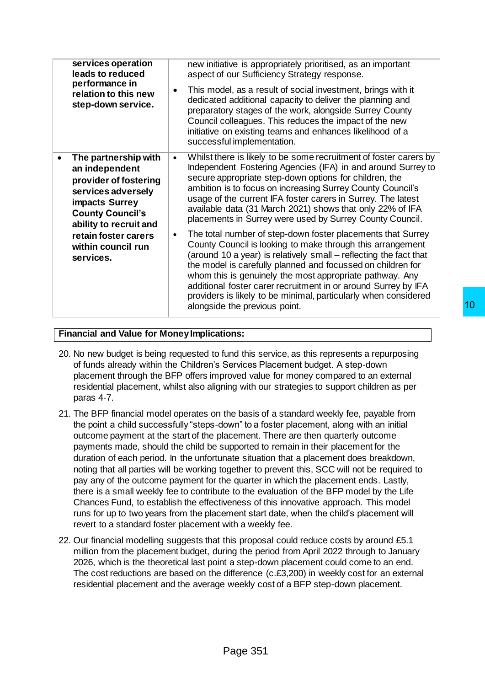| services operation<br>leads to reduced<br>performance in<br>relation to this new<br>step-down service.                                                       | new initiative is appropriately prioritised, as an important<br>aspect of our Sufficiency Strategy response.<br>This model, as a result of social investment, brings with it<br>dedicated additional capacity to deliver the planning and<br>preparatory stages of the work, alongside Surrey County<br>Council colleagues. This reduces the impact of the new<br>initiative on existing teams and enhances likelihood of a<br>successful implementation.                                                    |
|--------------------------------------------------------------------------------------------------------------------------------------------------------------|--------------------------------------------------------------------------------------------------------------------------------------------------------------------------------------------------------------------------------------------------------------------------------------------------------------------------------------------------------------------------------------------------------------------------------------------------------------------------------------------------------------|
| The partnership with<br>an independent<br>provider of fostering<br>services adversely<br>impacts Surrey<br><b>County Council's</b><br>ability to recruit and | Whilst there is likely to be some recruitment of foster carers by<br>Independent Fostering Agencies (IFA) in and around Surrey to<br>secure appropriate step-down options for children, the<br>ambition is to focus on increasing Surrey County Council's<br>usage of the current IFA foster carers in Surrey. The latest<br>available data (31 March 2021) shows that only 22% of IFA<br>placements in Surrey were used by Surrey County Council.                                                           |
| retain foster carers<br>within council run<br>services.                                                                                                      | The total number of step-down foster placements that Surrey<br>$\bullet$<br>County Council is looking to make through this arrangement<br>(around 10 a year) is relatively small – reflecting the fact that<br>the model is carefully planned and focussed on children for<br>whom this is genuinely the most appropriate pathway. Any<br>additional foster carer recruitment in or around Surrey by IFA<br>providers is likely to be minimal, particularly when considered<br>alongside the previous point. |

# **Financial and Value for Money Implications:**

- 20. No new budget is being requested to fund this service, as this represents a repurposing of funds already within the Children's Services Placement budget. A step-down placement through the BFP offers improved value for money compared to an external residential placement, whilst also aligning with our strategies to support children as per paras 4-7.
- 21. The BFP financial model operates on the basis of a standard weekly fee, payable from the point a child successfully "steps-down" to a foster placement, along with an initial outcome payment at the start of the placement. There are then quarterly outcome payments made, should the child be supported to remain in their placement for the duration of each period. In the unfortunate situation that a placement does breakdown, noting that all parties will be working together to prevent this, SCC will not be required to pay any of the outcome payment for the quarter in which the placement ends. Lastly, there is a small weekly fee to contribute to the evaluation of the BFP model by the Life Chances Fund, to establish the effectiveness of this innovative approach. This model runs for up to two years from the placement start date, when the child's placement will revert to a standard foster placement with a weekly fee. 10<br>
ions:<br>
ions:<br>
ions:<br>
ions:<br>
ions:<br>
Services Placement budget. A step-down<br>
oroved value for money compared to an external<br>
ing with our strategies to support children as per<br>
the basis of a standard weekly fee, payable
- 22. Our financial modelling suggests that this proposal could reduce costs by around £5.1 million from the placement budget, during the period from April 2022 through to January 2026, which is the theoretical last point a step-down placement could come to an end. The cost reductions are based on the difference (c.£3,200) in weekly cost for an external residential placement and the average weekly cost of a BFP step-down placement.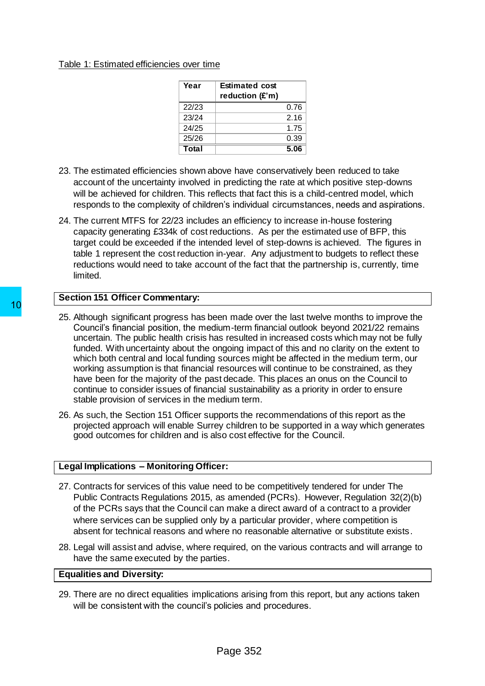#### Table 1: Estimated efficiencies over time

| Year  | <b>Estimated cost</b><br>reduction (£'m) |      |
|-------|------------------------------------------|------|
| 22/23 |                                          | 0.76 |
| 23/24 |                                          | 2.16 |
| 24/25 |                                          | 1.75 |
| 25/26 |                                          | 0.39 |
| Total |                                          | 5.06 |

- 23. The estimated efficiencies shown above have conservatively been reduced to take account of the uncertainty involved in predicting the rate at which positive step-downs will be achieved for children. This reflects that fact this is a child-centred model, which responds to the complexity of children's individual circumstances, needs and aspirations.
- 24. The current MTFS for 22/23 includes an efficiency to increase in-house fostering capacity generating £334k of cost reductions. As per the estimated use of BFP, this target could be exceeded if the intended level of step-downs is achieved. The figures in table 1 represent the cost reduction in-year. Any adjustment to budgets to reflect these reductions would need to take account of the fact that the partnership is, currently, time limited.

## **Section 151 Officer Commentary:**

- 25. Although significant progress has been made over the last twelve months to improve the Council's financial position, the medium-term financial outlook beyond 2021/22 remains uncertain. The public health crisis has resulted in increased costs which may not be fully funded. With uncertainty about the ongoing impact of this and no clarity on the extent to which both central and local funding sources might be affected in the medium term, our working assumption is that financial resources will continue to be constrained, as they have been for the majority of the past decade. This places an onus on the Council to continue to consider issues of financial sustainability as a priority in order to ensure stable provision of services in the medium term. 10<br>
25. Although significant progress has been made of<br>
25. Although significant progress has been made of<br>
25. Although significant position, the medium-term fir<br>
11 tunded. With uncertainty about the ongoing imply<br>
11 wh
	- 26. As such, the Section 151 Officer supports the recommendations of this report as the projected approach will enable Surrey children to be supported in a way which generates good outcomes for children and is also cost effective for the Council.

## **Legal Implications – Monitoring Officer:**

- 27. Contracts for services of this value need to be competitively tendered for under The Public Contracts Regulations 2015, as amended (PCRs). However, Regulation 32(2)(b) of the PCRs says that the Council can make a direct award of a contract to a provider where services can be supplied only by a particular provider, where competition is absent for technical reasons and where no reasonable alternative or substitute exists.
- 28. Legal will assist and advise, where required, on the various contracts and will arrange to have the same executed by the parties.

### **Equalities and Diversity:**

29. There are no direct equalities implications arising from this report, but any actions taken will be consistent with the council's policies and procedures.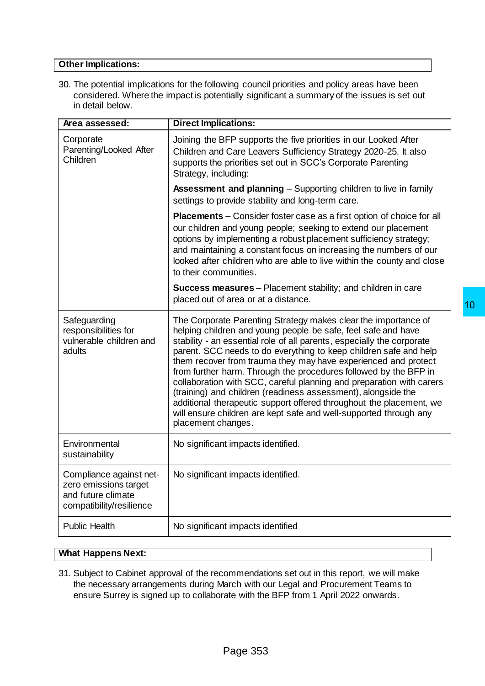## **Other Implications:**

30. The potential implications for the following council priorities and policy areas have been considered. Where the impact is potentially significant a summary of the issues is set out in detail below.

| Area assessed:                                                                                     | <b>Direct Implications:</b>                                                                                                                                                                                                                                                                                                                                                                                                                                                                                                                                                                                                                                                                                                     |
|----------------------------------------------------------------------------------------------------|---------------------------------------------------------------------------------------------------------------------------------------------------------------------------------------------------------------------------------------------------------------------------------------------------------------------------------------------------------------------------------------------------------------------------------------------------------------------------------------------------------------------------------------------------------------------------------------------------------------------------------------------------------------------------------------------------------------------------------|
| Corporate<br>Parenting/Looked After<br>Children                                                    | Joining the BFP supports the five priorities in our Looked After<br>Children and Care Leavers Sufficiency Strategy 2020-25. It also<br>supports the priorities set out in SCC's Corporate Parenting<br>Strategy, including:                                                                                                                                                                                                                                                                                                                                                                                                                                                                                                     |
|                                                                                                    | <b>Assessment and planning</b> – Supporting children to live in family<br>settings to provide stability and long-term care.                                                                                                                                                                                                                                                                                                                                                                                                                                                                                                                                                                                                     |
|                                                                                                    | <b>Placements</b> – Consider foster case as a first option of choice for all<br>our children and young people; seeking to extend our placement<br>options by implementing a robust placement sufficiency strategy;<br>and maintaining a constant focus on increasing the numbers of our<br>looked after children who are able to live within the county and close<br>to their communities.                                                                                                                                                                                                                                                                                                                                      |
|                                                                                                    | <b>Success measures</b> – Placement stability; and children in care<br>placed out of area or at a distance.<br>10                                                                                                                                                                                                                                                                                                                                                                                                                                                                                                                                                                                                               |
| Safeguarding<br>responsibilities for<br>vulnerable children and<br>adults                          | The Corporate Parenting Strategy makes clear the importance of<br>helping children and young people be safe, feel safe and have<br>stability - an essential role of all parents, especially the corporate<br>parent. SCC needs to do everything to keep children safe and help<br>them recover from trauma they may have experienced and protect<br>from further harm. Through the procedures followed by the BFP in<br>collaboration with SCC, careful planning and preparation with carers<br>(training) and children (readiness assessment), alongside the<br>additional therapeutic support offered throughout the placement, we<br>will ensure children are kept safe and well-supported through any<br>placement changes. |
| Environmental<br>sustainability                                                                    | No significant impacts identified.                                                                                                                                                                                                                                                                                                                                                                                                                                                                                                                                                                                                                                                                                              |
| Compliance against net-<br>zero emissions target<br>and future climate<br>compatibility/resilience | No significant impacts identified.                                                                                                                                                                                                                                                                                                                                                                                                                                                                                                                                                                                                                                                                                              |
| <b>Public Health</b>                                                                               | No significant impacts identified                                                                                                                                                                                                                                                                                                                                                                                                                                                                                                                                                                                                                                                                                               |
| <b>What Happens Next:</b>                                                                          |                                                                                                                                                                                                                                                                                                                                                                                                                                                                                                                                                                                                                                                                                                                                 |
|                                                                                                    | 31. Subject to Cabinet approval of the recommendations set out in this report, we will make<br>the necessary arrangements during March with our Legal and Procurement Teams to<br>ensure Surrey is signed up to collaborate with the BFP from 1 April 2022 onwards.                                                                                                                                                                                                                                                                                                                                                                                                                                                             |
|                                                                                                    | Page 353                                                                                                                                                                                                                                                                                                                                                                                                                                                                                                                                                                                                                                                                                                                        |

## **What Happens Next:**